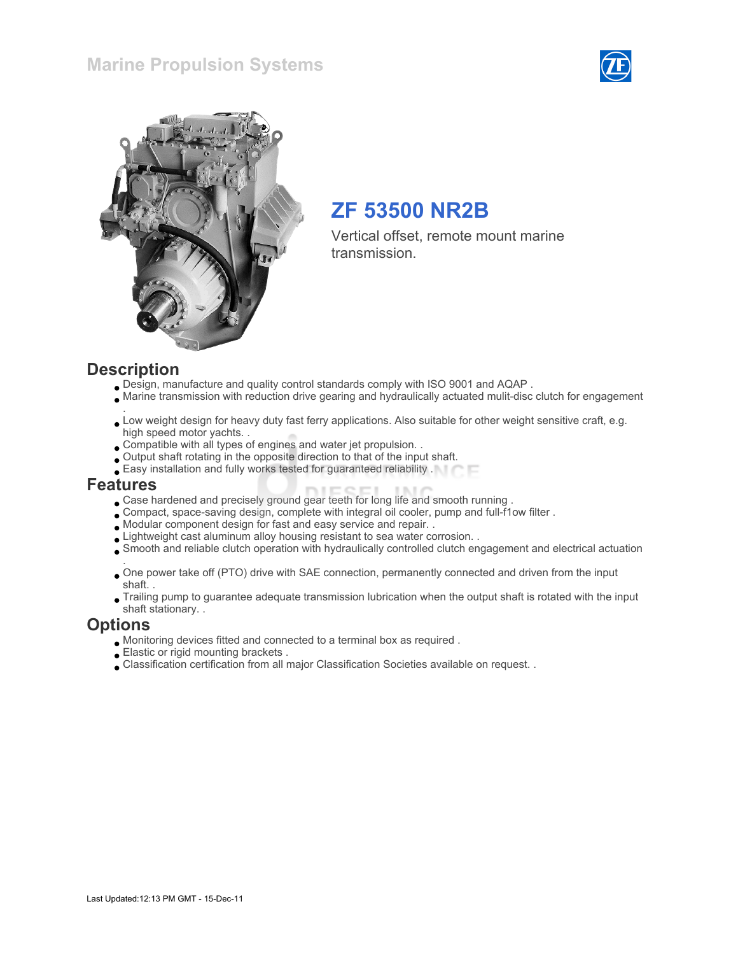## Marine Propulsion Systems





## ZF 53500 NR2B

Vertical offset, remote mount marine transmission.

### **Description**

- Design, manufacture and quality control standards comply with ISO 9001 and AQAP .
- Marine transmission with reduction drive gearing and hydraulically actuated mulit-disc clutch for engagement
- . Low weight design for heavy duty fast ferry applications. Also suitable for other weight sensitive craft, e.g. high speed motor yachts. .
- Compatible with all types of engines and water jet propulsion. .
- Output shaft rotating in the opposite direction to that of the input shaft.
- Easy installation and fully works tested for guaranteed reliability .

#### Features

- Case hardened and precisely ground gear teeth for long life and smooth running .
- Compact, space-saving design, complete with integral oil cooler, pump and full-f1ow filter .
- Modular component design for fast and easy service and repair. .
- Lightweight cast aluminum alloy housing resistant to sea water corrosion. .
- Smooth and reliable clutch operation with hydraulically controlled clutch engagement and electrical actuation
- . One power take off (PTO) drive with SAE connection, permanently connected and driven from the input shaft. .
- Trailing pump to guarantee adequate transmission lubrication when the output shaft is rotated with the input shaft stationary. .

#### **Options**

- Monitoring devices fitted and connected to a terminal box as required .
- Elastic or rigid mounting brackets .
- Classification certification from all major Classification Societies available on request. .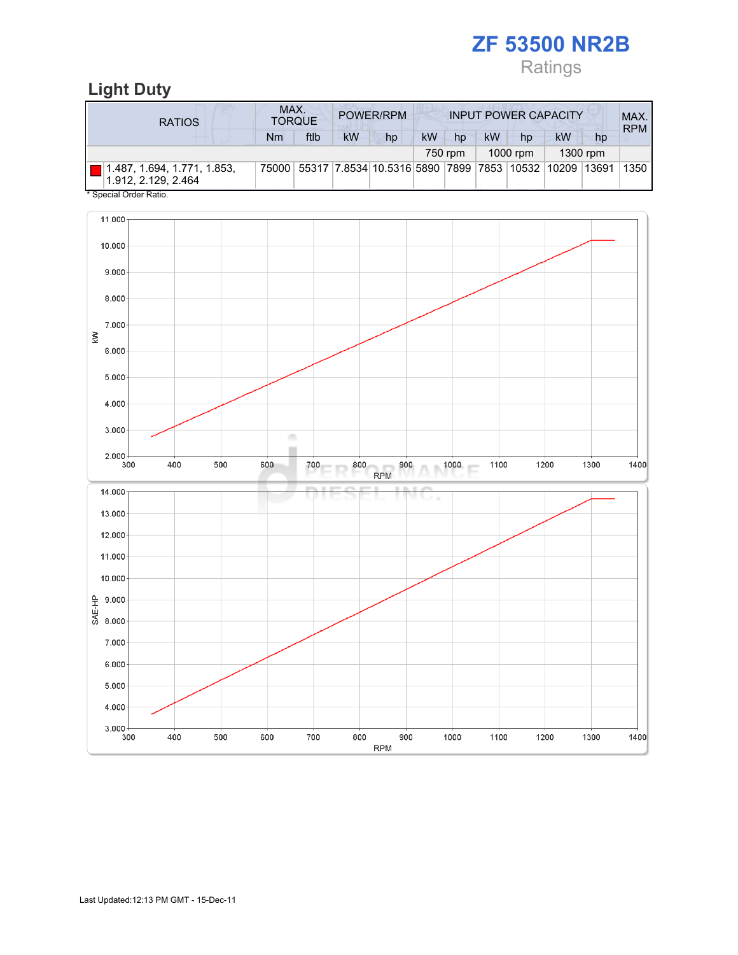# Ratings

# Light Duty

| <b>RATIOS</b>                                      | MAX.<br><b>TORQUE</b> |      | POWER/RPM |                                                                               |     | <b>INPUT POWER CAPACITY</b> | MAX.<br><b>RPM</b> |          |    |          |      |
|----------------------------------------------------|-----------------------|------|-----------|-------------------------------------------------------------------------------|-----|-----------------------------|--------------------|----------|----|----------|------|
|                                                    | Nm                    | ftlb | <b>kW</b> | hp                                                                            | kW. | hp                          | <b>kW</b>          | hp       | kW | hp       |      |
|                                                    |                       |      |           |                                                                               |     | 750 rpm                     |                    | 1000 rpm |    | 1300 rpm |      |
| 1.487, 1.694, 1.771, 1.853,<br>1.912, 2.129, 2.464 |                       |      |           | 75000   55317   7.8534   10.5316   5890   7899   7853   10532   10209   13691 |     |                             |                    |          |    |          | 1350 |

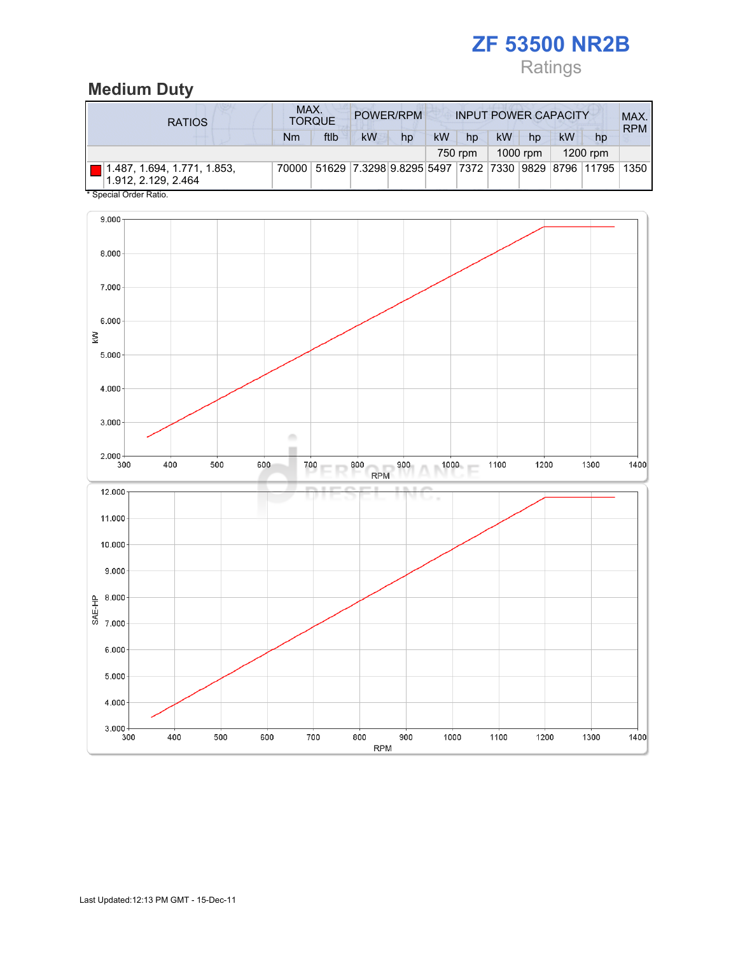# Ratings

## Medium Duty

| <b>RATIOS</b>                                      | MAX.<br>POWER/RPM<br><b>INPUT POWER CAPACITY</b><br><b>TORQUE</b> |                                                               |           |    |           |         |           |          |           | MAX.<br><b>RPM</b> |  |
|----------------------------------------------------|-------------------------------------------------------------------|---------------------------------------------------------------|-----------|----|-----------|---------|-----------|----------|-----------|--------------------|--|
|                                                    | Nm                                                                | ftlb                                                          | <b>kW</b> | hp | <b>kW</b> | hp      | <b>kW</b> | hp       | <b>kW</b> | hp                 |  |
|                                                    |                                                                   |                                                               |           |    |           | 750 rpm |           | 1000 rpm |           | $1200$ rpm         |  |
| 1.487, 1.694, 1.771, 1.853,<br>1.912, 2.129, 2.464 |                                                                   | 70000 51629 7.3298 9.8295 5497 7372 7330 9829 8796 11795 1350 |           |    |           |         |           |          |           |                    |  |
| * Special Order Ratio.                             |                                                                   |                                                               |           |    |           |         |           |          |           |                    |  |

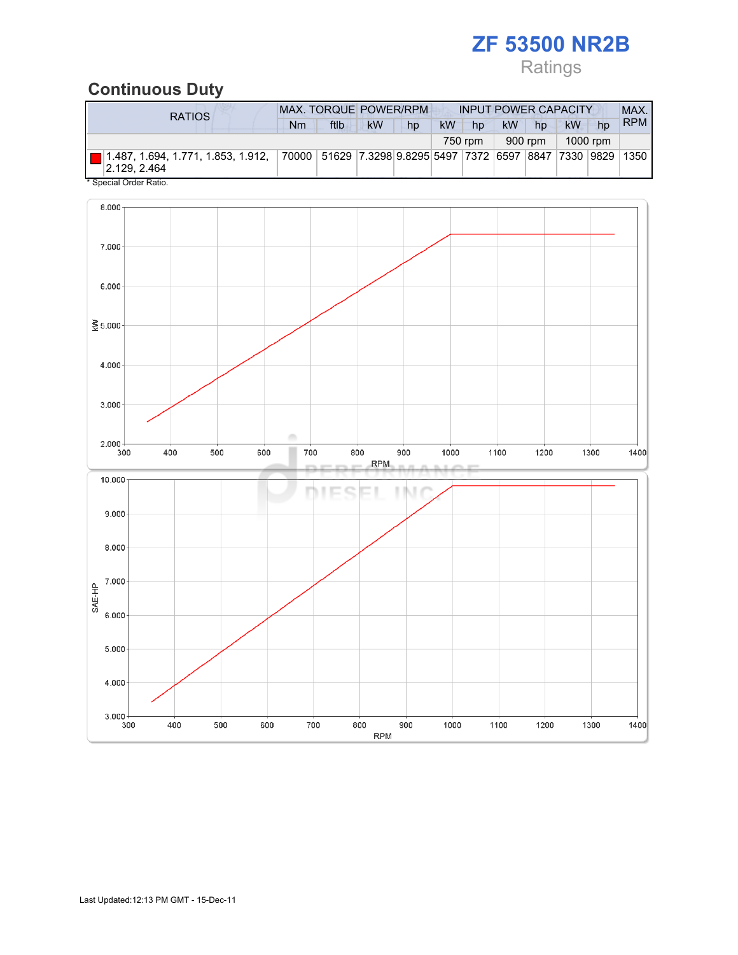# Ratings

## Continuous Duty

| <b>RATIOS</b>                                                                                                           |  | <b>MAX. TORQUE POWER/RPM</b> |           |    |           | <b>INPUT POWER CAPACITY</b> |           |         |           |          | MAX.       |
|-------------------------------------------------------------------------------------------------------------------------|--|------------------------------|-----------|----|-----------|-----------------------------|-----------|---------|-----------|----------|------------|
|                                                                                                                         |  | ftlb                         | <b>kW</b> | hp | <b>kW</b> | hp                          | <b>kW</b> | hp      | <b>kW</b> | hp       | <b>RPM</b> |
|                                                                                                                         |  |                              |           |    |           | 750 rpm                     |           | 900 rpm |           | 1000 rpm |            |
| 1.487, 1.694, 1.771, 1.853, 1.912,  70000 51629 7.3298 9.8295 5497  7372  6597  8847  7330  9829 1350  <br> 2.129.2.464 |  |                              |           |    |           |                             |           |         |           |          |            |

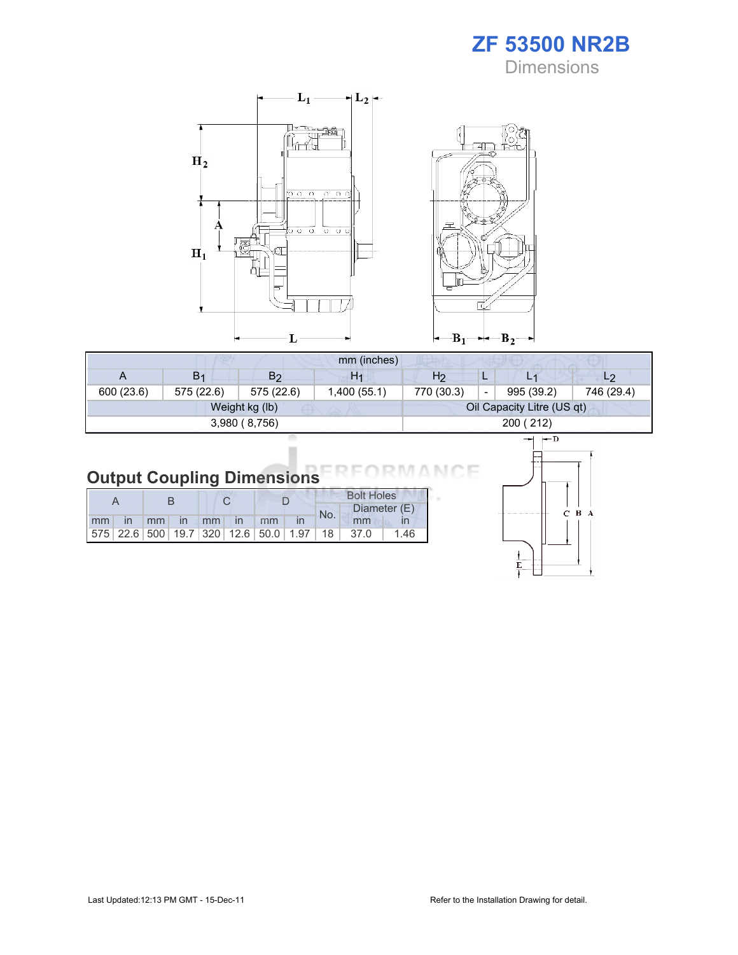ZF 53500 NR2B **Dimensions** 



|            |                |                | mm (inches)    |            |                          |                            |                |
|------------|----------------|----------------|----------------|------------|--------------------------|----------------------------|----------------|
|            | B <sub>1</sub> | B <sub>2</sub> | H <sub>1</sub> | H2         |                          |                            | L <sub>2</sub> |
| 600 (23.6) | 575 (22.6)     | 575 (22.6)     | 1,400(55.1)    | 770 (30.3) | $\overline{\phantom{0}}$ | 995 (39.2)                 | 746 (29.4)     |
|            |                | Weight kg (lb) |                |            |                          | Oil Capacity Litre (US qt) |                |
|            |                | 3,980(8,756)   |                |            | 200 (212)                |                            |                |
|            |                |                |                |            |                          |                            |                |

#### Output Coupling Dimensions N.

i.

|    |                 |               |    |               |    |                                                         | <b>Bolt Holes</b> |              |      |  |  |
|----|-----------------|---------------|----|---------------|----|---------------------------------------------------------|-------------------|--------------|------|--|--|
|    |                 |               |    |               |    |                                                         | No.               | Diameter (E) |      |  |  |
| mm | mm <sub>1</sub> | $\mathsf{In}$ | mm | $\mathsf{In}$ | mm |                                                         |                   | mm           |      |  |  |
|    |                 |               |    |               |    | 575   22.6   500   19.7   320   12.6   50.0   1.97   18 |                   | 37.0         | 1.46 |  |  |